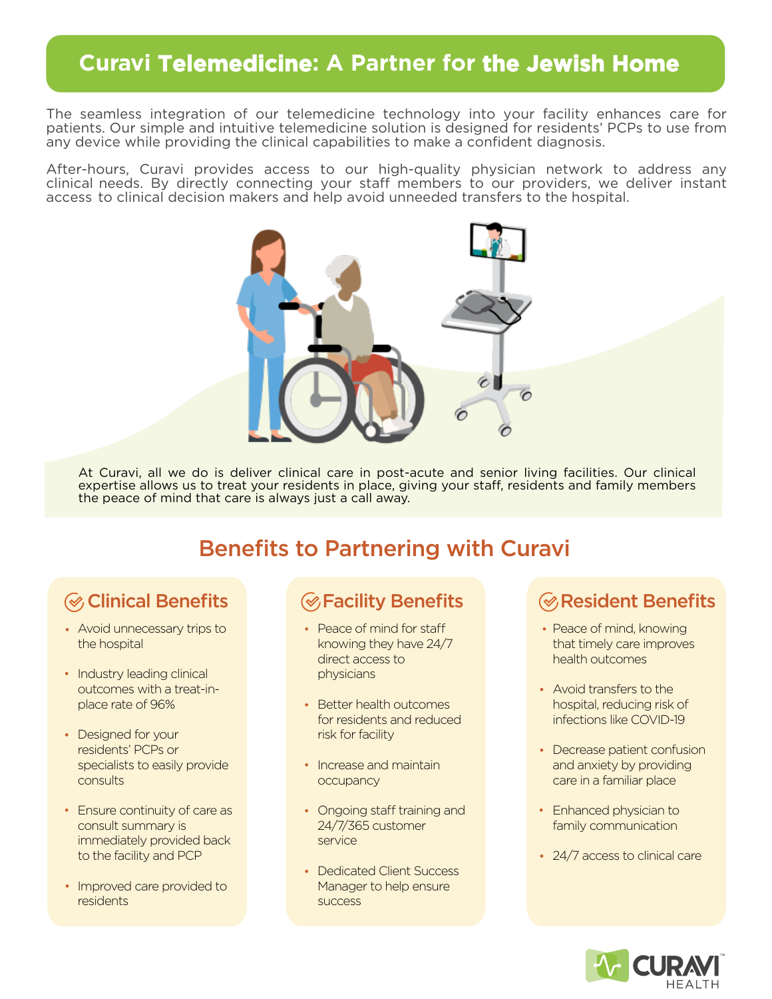# **Curavi Telemedicine: A Partner for the Jewish Home**

The seamless integration of our telemedicine technology into your facility enhances care for patients. Our simple and intuitive telemedicine solution is designed for residents' PCPs to use from any device while providing the clinical capabilities to make a confident diagnosis.

After-hours, Curavi provides access to our high-quality physician network to address any clinical needs. By directly connecting your staff members to our providers, we deliver instant access to clinical decision makers and help avoid unneeded transfers to the hospital.



At Curavi, all we do is deliver clinical care in post-acute and senior living facilities. Our clinical expertise allows us to treat your residents in place, giving your staff, residents and family members the peace of mind that care is always just a call away.

# Benefits to Partnering with Curavi

# **<sup></sub>**⊘ Clinical Benefits</sup>

- Avoid unnecessary trips to • the hospital
- Industry leading clinical outcomes with a treat-inplace rate of 96%
- Designed for your residents' PCPs or specialists to easily provide consults
- Ensure continuity of care as consult summary is immediately provided back to the facility and PCP
- Improved care provided to residents

- Peace of mind for staff knowing they have 24/7 direct access to physicians
- Better health outcomes for residents and reduced risk for facility
- Increase and maintain **occupancy**
- Ongoing staff training and 24/7/365 customer service
- Dedicated Client Success Manager to help ensure success

## $\mathcal G$  Facility Benefits  $\qquad \qquad \mathcal G$  Resident Benefits

- Peace of mind, knowing that timely care improves health outcomes
- Avoid transfers to the hospital, reducing risk of infections like COVID-19
- Decrease patient confusion and anxiety by providing care in a familiar place
- Enhanced physician to family communication
- 24/7 access to clinical care